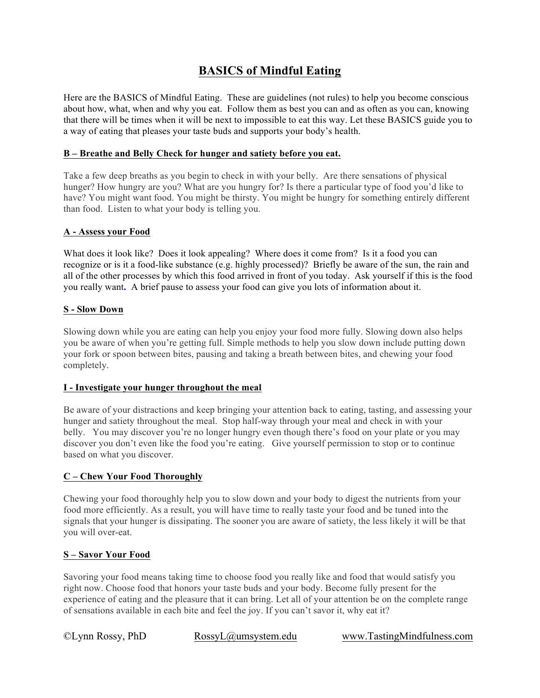### **BASICS of Mindful Eating**

Here are the BASICS of Mindful Eating. These are guidelines (not rules) to help you become conscious about how, what, when and why you eat. Follow them as best you can and as often as you can, knowing that there will be times when it will be next to impossible to eat this way. Let these BASICS guide you to a way of eating that pleases your taste buds and supports your body's health.

#### **B – Breathe and Belly Check for hunger and satiety before you eat.**

Take a few deep breaths as you begin to check in with your belly. Are there sensations of physical hunger? How hungry are you? What are you hungry for? Is there a particular type of food you'd like to have? You might want food. You might be thirsty. You might be hungry for something entirely different than food. Listen to what your body is telling you.

#### **A - Assess your Food**

What does it look like? Does it look appealing? Where does it come from?Is it a food you can recognize or is it a food-like substance (e.g. highly processed)? Briefly be aware of the sun, the rain and all of the other processes by which this food arrived in front of you today. Ask yourself if this is the food you really want**.** A brief pause to assess your food can give you lots of information about it.

#### **S - Slow Down**

Slowing down while you are eating can help you enjoy your food more fully. Slowing down also helps you be aware of when you're getting full. Simple methods to help you slow down include putting down your fork or spoon between bites, pausing and taking a breath between bites, and chewing your food completely.

#### **I - Investigate your hunger throughout the meal**

Be aware of your distractions and keep bringing your attention back to eating, tasting, and assessing your hunger and satiety throughout the meal. Stop half-way through your meal and check in with your belly. You may discover you're no longer hungry even though there's food on your plate or you may discover you don't even like the food you're eating. Give yourself permission to stop or to continue based on what you discover.

#### **C – Chew Your Food Thoroughly**

Chewing your food thoroughly help you to slow down and your body to digest the nutrients from your food more efficiently. As a result, you will have time to really taste your food and be tuned into the signals that your hunger is dissipating. The sooner you are aware of satiety, the less likely it will be that you will over-eat.

#### **S – Savor Your Food**

Savoring your food means taking time to choose food you really like and food that would satisfy you right now. Choose food that honors your taste buds and your body. Become fully present for the experience of eating and the pleasure that it can bring. Let all of your attention be on the complete range of sensations available in each bite and feel the joy. If you can't savor it, why eat it?

©Lynn Rossy, PhD RossyL@umsystem.edu www.TastingMindfulness.com